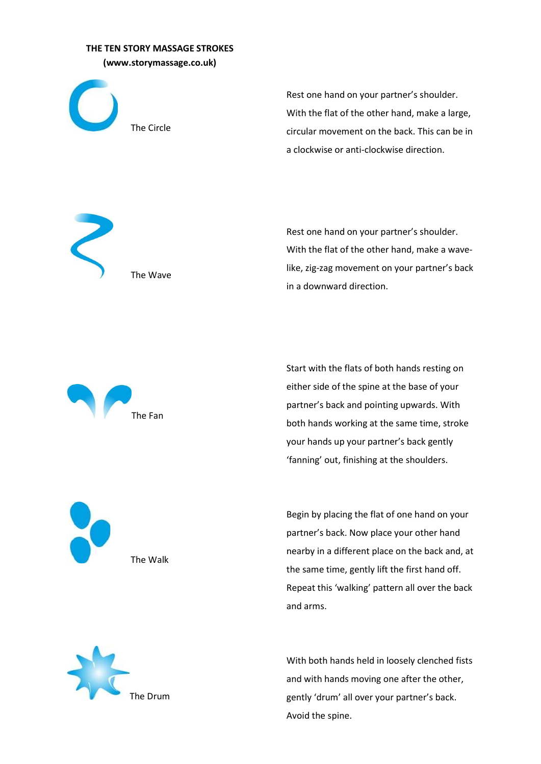## THE TEN STORY MASSAGE STROKES (www.storymassage.co.uk)

The Wave



Rest one hand on your partner's shoulder. With the flat of the other hand, make a large, circular movement on the back. This can be in a clockwise or anti-clockwise direction.

Rest one hand on your partner's shoulder. With the flat of the other hand, make a wavelike, zig-zag movement on your partner's back in a downward direction.



Start with the flats of both hands resting on either side of the spine at the base of your partner's back and pointing upwards. With both hands working at the same time, stroke your hands up your partner's back gently 'fanning' out, finishing at the shoulders.

Begin by placing the flat of one hand on your partner's back. Now place your other hand nearby in a different place on the back and, at the same time, gently lift the first hand off. Repeat this 'walking' pattern all over the back and arms.



The Walk

With both hands held in loosely clenched fists and with hands moving one after the other, gently 'drum' all over your partner's back. Avoid the spine.

The Fan